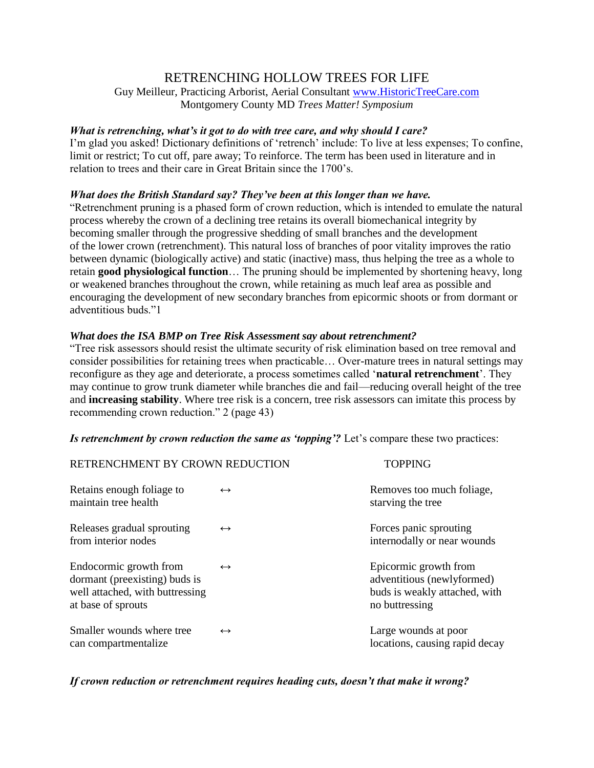# RETRENCHING HOLLOW TREES FOR LIFE

Guy Meilleur, Practicing Arborist, Aerial Consultant [www.HistoricTreeCare.com](http://www.historictreecare.com/) Montgomery County MD *Trees Matter! Symposium*

# *What is retrenching, what's it got to do with tree care, and why should I care?*

I'm glad you asked! Dictionary definitions of 'retrench' include: To live at less expenses; To confine, limit or restrict; To cut off, pare away; To reinforce. The term has been used in literature and in relation to trees and their care in Great Britain since the 1700's.

# *What does the British Standard say? They've been at this longer than we have.*

"Retrenchment pruning is a phased form of crown reduction, which is intended to emulate the natural process whereby the crown of a declining tree retains its overall biomechanical integrity by becoming smaller through the progressive shedding of small branches and the development of the lower crown (retrenchment). This natural loss of branches of poor vitality improves the ratio between dynamic (biologically active) and static (inactive) mass, thus helping the tree as a whole to retain **good physiological function**… The pruning should be implemented by shortening heavy, long or weakened branches throughout the crown, while retaining as much leaf area as possible and encouraging the development of new secondary branches from epicormic shoots or from dormant or adventitious buds."1

# *What does the ISA BMP on Tree Risk Assessment say about retrenchment?*

"Tree risk assessors should resist the ultimate security of risk elimination based on tree removal and consider possibilities for retaining trees when practicable… Over-mature trees in natural settings may reconfigure as they age and deteriorate, a process sometimes called '**natural retrenchment**'. They may continue to grow trunk diameter while branches die and fail—reducing overall height of the tree and **increasing stability**. Where tree risk is a concern, tree risk assessors can imitate this process by recommending crown reduction." 2 (page 43)

# *Is retrenchment by crown reduction the same as 'topping'?* Let's compare these two practices:

| RETRENCHMENT BY CROWN REDUCTION                                                                                  |                   | <b>TOPPING</b>                                                                                         |
|------------------------------------------------------------------------------------------------------------------|-------------------|--------------------------------------------------------------------------------------------------------|
| Retains enough foliage to<br>maintain tree health                                                                | $\leftrightarrow$ | Removes too much foliage,<br>starving the tree                                                         |
| Releases gradual sprouting<br>from interior nodes                                                                | $\leftrightarrow$ | Forces panic sprouting<br>internodally or near wounds                                                  |
| Endocormic growth from<br>dormant (preexisting) buds is<br>well attached, with buttressing<br>at base of sprouts | $\leftrightarrow$ | Epicormic growth from<br>adventitious (newlyformed)<br>buds is weakly attached, with<br>no buttressing |
| Smaller wounds where tree<br>can compartmentalize                                                                | $\leftrightarrow$ | Large wounds at poor<br>locations, causing rapid decay                                                 |

# *If crown reduction or retrenchment requires heading cuts, doesn't that make it wrong?*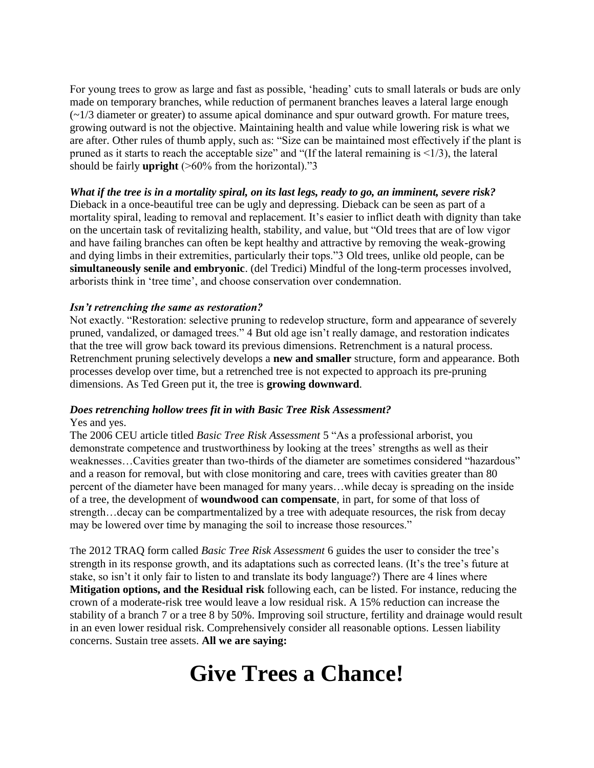For young trees to grow as large and fast as possible, 'heading' cuts to small laterals or buds are only made on temporary branches, while reduction of permanent branches leaves a lateral large enough  $(\sim 1/3$  diameter or greater) to assume apical dominance and spur outward growth. For mature trees, growing outward is not the objective. Maintaining health and value while lowering risk is what we are after. Other rules of thumb apply, such as: "Size can be maintained most effectively if the plant is pruned as it starts to reach the acceptable size" and "(If the lateral remaining is  $\leq 1/3$ ), the lateral should be fairly **upright** (>60% from the horizontal)."3

# *What if the tree is in a mortality spiral, on its last legs, ready to go, an imminent, severe risk?*

Dieback in a once-beautiful tree can be ugly and depressing. Dieback can be seen as part of a mortality spiral, leading to removal and replacement. It's easier to inflict death with dignity than take on the uncertain task of revitalizing health, stability, and value, but "Old trees that are of low vigor and have failing branches can often be kept healthy and attractive by removing the weak-growing and dying limbs in their extremities, particularly their tops."3 Old trees, unlike old people, can be **simultaneously senile and embryonic**. (del Tredici) Mindful of the long-term processes involved, arborists think in 'tree time', and choose conservation over condemnation.

# *Isn't retrenching the same as restoration?*

Not exactly. "Restoration: selective pruning to redevelop structure, form and appearance of severely pruned, vandalized, or damaged trees." 4 But old age isn't really damage, and restoration indicates that the tree will grow back toward its previous dimensions. Retrenchment is a natural process. Retrenchment pruning selectively develops a **new and smaller** structure, form and appearance. Both processes develop over time, but a retrenched tree is not expected to approach its pre-pruning dimensions. As Ted Green put it, the tree is **growing downward**.

# *Does retrenching hollow trees fit in with Basic Tree Risk Assessment?*

#### Yes and yes.

The 2006 CEU article titled *Basic Tree Risk Assessment* 5 "As a professional arborist, you demonstrate competence and trustworthiness by looking at the trees' strengths as well as their weaknesses…Cavities greater than two-thirds of the diameter are sometimes considered "hazardous" and a reason for removal, but with close monitoring and care, trees with cavities greater than 80 percent of the diameter have been managed for many years…while decay is spreading on the inside of a tree, the development of **woundwood can compensate**, in part, for some of that loss of strength…decay can be compartmentalized by a tree with adequate resources, the risk from decay may be lowered over time by managing the soil to increase those resources."

The 2012 TRAQ form called *Basic Tree Risk Assessment* 6 guides the user to consider the tree's strength in its response growth, and its adaptations such as corrected leans. (It's the tree's future at stake, so isn't it only fair to listen to and translate its body language?) There are 4 lines where **Mitigation options, and the Residual risk** following each, can be listed. For instance, reducing the crown of a moderate-risk tree would leave a low residual risk. A 15% reduction can increase the stability of a branch 7 or a tree 8 by 50%. Improving soil structure, fertility and drainage would result in an even lower residual risk. Comprehensively consider all reasonable options. Lessen liability concerns. Sustain tree assets. **All we are saying:** 

# **Give Trees a Chance!**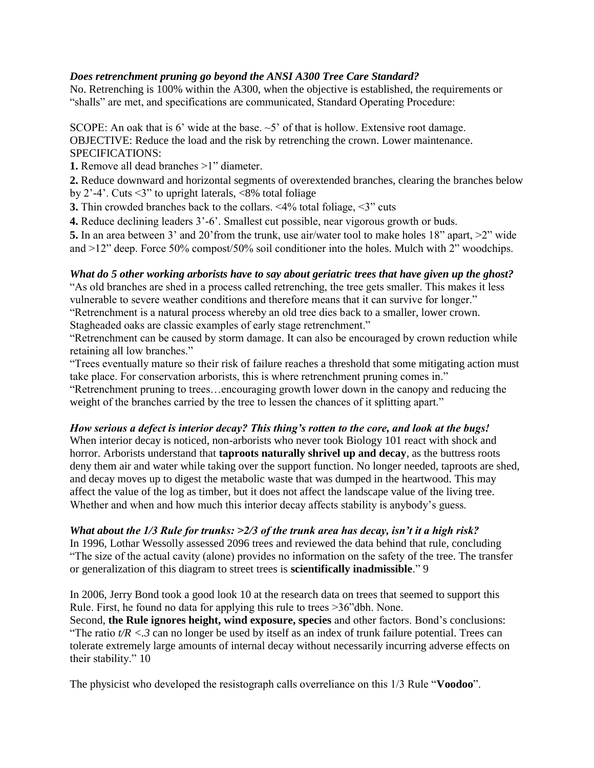# *Does retrenchment pruning go beyond the ANSI A300 Tree Care Standard?*

No. Retrenching is 100% within the A300, when the objective is established, the requirements or "shalls" are met, and specifications are communicated, Standard Operating Procedure:

SCOPE: An oak that is 6' wide at the base.  $\sim$  5' of that is hollow. Extensive root damage. OBJECTIVE: Reduce the load and the risk by retrenching the crown. Lower maintenance. SPECIFICATIONS:

**1.** Remove all dead branches >1" diameter.

**2.** Reduce downward and horizontal segments of overextended branches, clearing the branches below by 2'-4'. Cuts  $\leq 3$ " to upright laterals,  $\leq 8\%$  total foliage

**3.** Thin crowded branches back to the collars. <4% total foliage, <3" cuts

**4.** Reduce declining leaders 3'-6'. Smallest cut possible, near vigorous growth or buds.

**5.** In an area between 3' and 20'from the trunk, use air/water tool to make holes 18" apart,  $>2$ " wide and >12" deep. Force 50% compost/50% soil conditioner into the holes. Mulch with 2" woodchips.

# *What do 5 other working arborists have to say about geriatric trees that have given up the ghost?*

"As old branches are shed in a process called retrenching, the tree gets smaller. This makes it less vulnerable to severe weather conditions and therefore means that it can survive for longer." "Retrenchment is a natural process whereby an old tree dies back to a smaller, lower crown.

Stagheaded oaks are classic examples of early stage retrenchment."

"Retrenchment can be caused by storm damage. It can also be encouraged by crown reduction while retaining all low branches."

"Trees eventually mature so their risk of failure reaches a threshold that some mitigating action must take place. For conservation arborists, this is where retrenchment pruning comes in."

"Retrenchment pruning to trees…encouraging growth lower down in the canopy and reducing the weight of the branches carried by the tree to lessen the chances of it splitting apart."

# *How serious a defect is interior decay? This thing's rotten to the core, and look at the bugs!*

When interior decay is noticed, non-arborists who never took Biology 101 react with shock and horror. Arborists understand that **taproots naturally shrivel up and decay**, as the buttress roots deny them air and water while taking over the support function. No longer needed, taproots are shed, and decay moves up to digest the metabolic waste that was dumped in the heartwood. This may affect the value of the log as timber, but it does not affect the landscape value of the living tree. Whether and when and how much this interior decay affects stability is anybody's guess.

*What about the 1/3 Rule for trunks: >2/3 of the trunk area has decay, isn't it a high risk?* 

In 1996, Lothar Wessolly assessed 2096 trees and reviewed the data behind that rule, concluding "The size of the actual cavity (alone) provides no information on the safety of the tree. The transfer or generalization of this diagram to street trees is **scientifically inadmissible**." 9

In 2006, Jerry Bond took a good look 10 at the research data on trees that seemed to support this Rule. First, he found no data for applying this rule to trees >36"dbh. None.

Second, **the Rule ignores height, wind exposure, species** and other factors. Bond's conclusions: "The ratio  $t/R < .3$  can no longer be used by itself as an index of trunk failure potential. Trees can tolerate extremely large amounts of internal decay without necessarily incurring adverse effects on their stability." 10

The physicist who developed the resistograph calls overreliance on this 1/3 Rule "**Voodoo**".